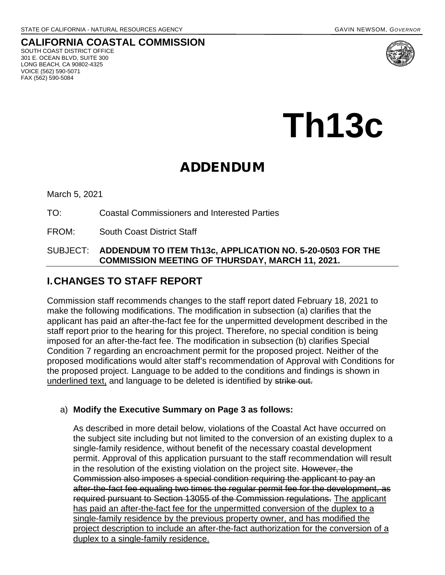# **CALIFORNIA COASTAL COMMISSION** SOUTH COAST DISTRICT OFFICE

301 E. OCEAN BLVD, SUITE 300 LONG BEACH, CA 90802-4325 VOICE (562) 590-5071 FAX (562) 590-5084



**Th13c** 

# ADDENDUM

March 5, 2021

TO: Coastal Commissioners and Interested Parties

FROM: South Coast District Staff

### SUBJECT: **ADDENDUM TO ITEM Th13c, APPLICATION NO. 5-20-0503 FOR THE COMMISSION MEETING OF THURSDAY, MARCH 11, 2021.**

# **I. CHANGES TO STAFF REPORT**

Commission staff recommends changes to the staff report dated February 18, 2021 to make the following modifications. The modification in subsection (a) clarifies that the applicant has paid an after-the-fact fee for the unpermitted development described in the staff report prior to the hearing for this project. Therefore, no special condition is being imposed for an after-the-fact fee. The modification in subsection (b) clarifies Special Condition 7 regarding an encroachment permit for the proposed project. Neither of the proposed modifications would alter staff's recommendation of Approval with Conditions for the proposed project. Language to be added to the conditions and findings is shown in underlined text, and language to be deleted is identified by strike out.

### a) **Modify the Executive Summary on Page 3 as follows:**

As described in more detail below, violations of the Coastal Act have occurred on the subject site including but not limited to the conversion of an existing duplex to a single-family residence, without benefit of the necessary coastal development permit. Approval of this application pursuant to the staff recommendation will result in the resolution of the existing violation on the project site. However, the Commission also imposes a special condition requiring the applicant to pay an after-the-fact fee equaling two times the regular permit fee for the development, as required pursuant to Section 13055 of the Commission regulations. The applicant has paid an after-the-fact fee for the unpermitted conversion of the duplex to a single-family residence by the previous property owner, and has modified the project description to include an after-the-fact authorization for the conversion of a duplex to a single-family residence.